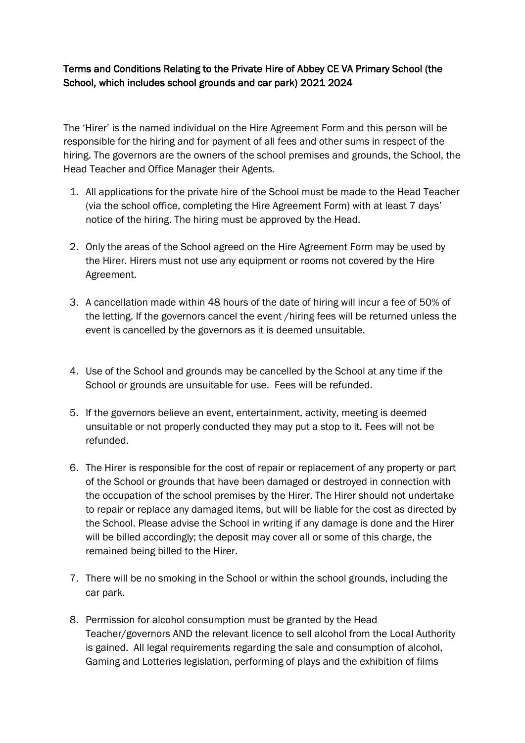## Terms and Conditions Relating to the Private Hire of Abbey CE VA Primary School (the School, which includes school grounds and car park) 2021 2024

The 'Hirer' is the named individual on the Hire Agreement Form and this person will be responsible for the hiring and for payment of all fees and other sums in respect of the hiring. The governors are the owners of the school premises and grounds, the School, the Head Teacher and Office Manager their Agents.

- 1. All applications for the private hire of the School must be made to the Head Teacher (via the school office, completing the Hire Agreement Form) with at least 7 days' notice of the hiring. The hiring must be approved by the Head.
- 2. Only the areas of the School agreed on the Hire Agreement Form may be used by the Hirer. Hirers must not use any equipment or rooms not covered by the Hire Agreement.
- 3. A cancellation made within 48 hours of the date of hiring will incur a fee of 50% of the letting. If the governors cancel the event /hiring fees will be returned unless the event is cancelled by the governors as it is deemed unsuitable.
- 4. Use of the School and grounds may be cancelled by the School at any time if the School or grounds are unsuitable for use. Fees will be refunded.
- 5. If the governors believe an event, entertainment, activity, meeting is deemed unsuitable or not properly conducted they may put a stop to it. Fees will not be refunded.
- 6. The Hirer is responsible for the cost of repair or replacement of any property or part of the School or grounds that have been damaged or destroyed in connection with the occupation of the school premises by the Hirer. The Hirer should not undertake to repair or replace any damaged items, but will be liable for the cost as directed by the School. Please advise the School in writing if any damage is done and the Hirer will be billed accordingly; the deposit may cover all or some of this charge, the remained being billed to the Hirer.
- 7. There will be no smoking in the School or within the school grounds, including the car park.
- 8. Permission for alcohol consumption must be granted by the Head Teacher/governors AND the relevant licence to sell alcohol from the Local Authority is gained. All legal requirements regarding the sale and consumption of alcohol, Gaming and Lotteries legislation, performing of plays and the exhibition of films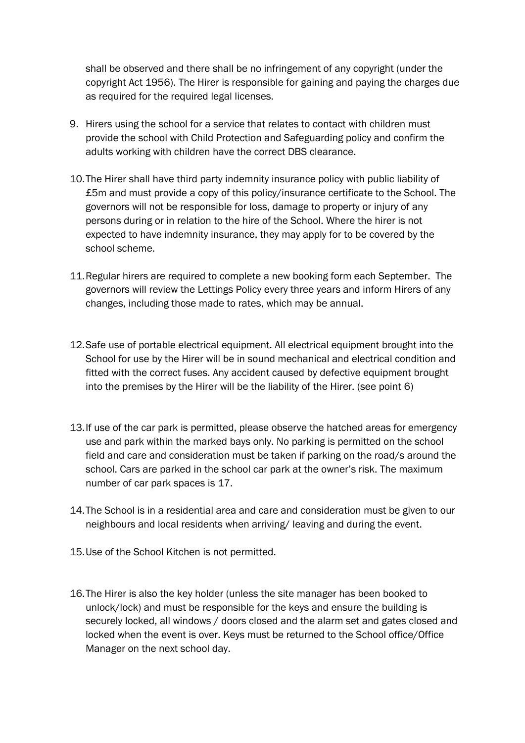shall be observed and there shall be no infringement of any copyright (under the copyright Act 1956). The Hirer is responsible for gaining and paying the charges due as required for the required legal licenses.

- 9. Hirers using the school for a service that relates to contact with children must provide the school with Child Protection and Safeguarding policy and confirm the adults working with children have the correct DBS clearance.
- 10.The Hirer shall have third party indemnity insurance policy with public liability of £5m and must provide a copy of this policy/insurance certificate to the School. The governors will not be responsible for loss, damage to property or injury of any persons during or in relation to the hire of the School. Where the hirer is not expected to have indemnity insurance, they may apply for to be covered by the school scheme.
- 11.Regular hirers are required to complete a new booking form each September. The governors will review the Lettings Policy every three years and inform Hirers of any changes, including those made to rates, which may be annual.
- 12.Safe use of portable electrical equipment. All electrical equipment brought into the School for use by the Hirer will be in sound mechanical and electrical condition and fitted with the correct fuses. Any accident caused by defective equipment brought into the premises by the Hirer will be the liability of the Hirer. (see point 6)
- 13.If use of the car park is permitted, please observe the hatched areas for emergency use and park within the marked bays only. No parking is permitted on the school field and care and consideration must be taken if parking on the road/s around the school. Cars are parked in the school car park at the owner's risk. The maximum number of car park spaces is 17.
- 14.The School is in a residential area and care and consideration must be given to our neighbours and local residents when arriving/ leaving and during the event.
- 15.Use of the School Kitchen is not permitted.
- 16.The Hirer is also the key holder (unless the site manager has been booked to unlock/lock) and must be responsible for the keys and ensure the building is securely locked, all windows / doors closed and the alarm set and gates closed and locked when the event is over. Keys must be returned to the School office/Office Manager on the next school day.